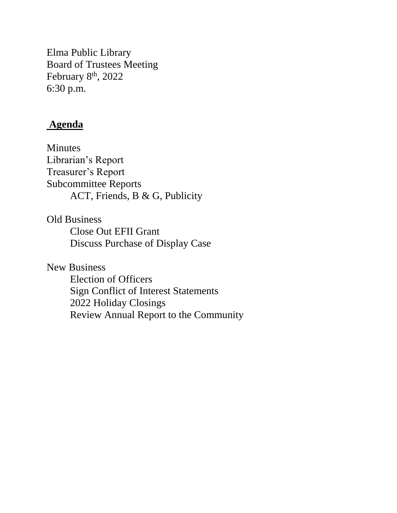Elma Public Library Board of Trustees Meeting February 8<sup>th</sup>, 2022 6:30 p.m.

# **Agenda**

Minutes Librarian's Report Treasurer's Report Subcommittee Reports ACT, Friends, B & G, Publicity

Old Business Close Out EFII Grant Discuss Purchase of Display Case

New Business

Election of Officers Sign Conflict of Interest Statements 2022 Holiday Closings Review Annual Report to the Community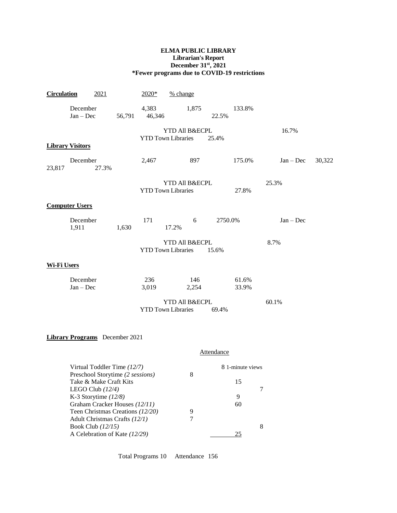#### **ELMA PUBLIC LIBRARY Librarian's Report December 31st, 2021 \*Fewer programs due to COVID-19 restrictions**

| <b>Circulation</b> | 2021                                                            |            | $2020*$                   | % change              |              |         |                      |             |        |
|--------------------|-----------------------------------------------------------------|------------|---------------------------|-----------------------|--------------|---------|----------------------|-------------|--------|
|                    | December<br>$Jan - Dec$                                         | 56,791     | 4,383<br>46,346           |                       | 1,875        | 22.5%   | 133.8%               |             |        |
|                    |                                                                 |            | <b>YTD Town Libraries</b> | YTD All B&ECPL        |              | 25.4%   |                      | 16.7%       |        |
|                    | <b>Library Visitors</b>                                         |            |                           |                       |              |         |                      |             |        |
| 23,817             | December<br>27.3%                                               |            | 2,467                     |                       | 897          |         | 175.0%               | $Jan - Dec$ | 30,322 |
|                    |                                                                 |            | <b>YTD Town Libraries</b> | YTD All B&ECPL        |              |         | 27.8%                | 25.3%       |        |
|                    | <b>Computer Users</b>                                           |            |                           |                       |              |         |                      |             |        |
|                    | December<br>1,911                                               | 1,630      | 171                       | 17.2%                 | 6            | 2750.0% |                      | $Jan - Dec$ |        |
|                    |                                                                 |            | <b>YTD Town Libraries</b> | YTD All B&ECPL        |              | 15.6%   |                      | 8.7%        |        |
| <b>Wi-Fi Users</b> |                                                                 |            |                           |                       |              |         |                      |             |        |
|                    | December<br>$Jan - Dec$                                         |            | 236<br>3,019              |                       | 146<br>2,254 |         | 61.6%<br>33.9%       |             |        |
|                    |                                                                 |            | <b>YTD Town Libraries</b> | YTD All B&ECPL        |              | 69.4%   |                      | 60.1%       |        |
|                    | Library Programs December 2021                                  |            |                           |                       |              |         |                      |             |        |
|                    |                                                                 |            |                           |                       |              |         |                      |             |        |
|                    |                                                                 | Attendance |                           |                       |              |         |                      |             |        |
|                    | Virtual Toddler Time (12/7)<br>Preschool Storytime (2 sessions) |            |                           | 8 1-minute views<br>8 |              |         |                      |             |        |
|                    | Take & Make Craft Kits<br>LEGO Club $(12/4)$                    |            |                           |                       |              |         | 15<br>$\overline{7}$ |             |        |
|                    | K-3 Storytime $(12/8)$                                          |            |                           |                       |              |         | 9                    |             |        |

Graham Cracker Houses *(12/11)* 60<br>Teen Christmas Creations *(12/20)* 9 Teen Christmas Creations (12/20) 9<br>Adult Christmas Crafts (12/1) 7 Adult Christmas Crafts *(12/1)* 7 Book Club *(12/15)* 8<br>A Celebration of Kate *(12/29)* 25 A Celebration of Kate (12/29)

Total Programs 10 Attendance 156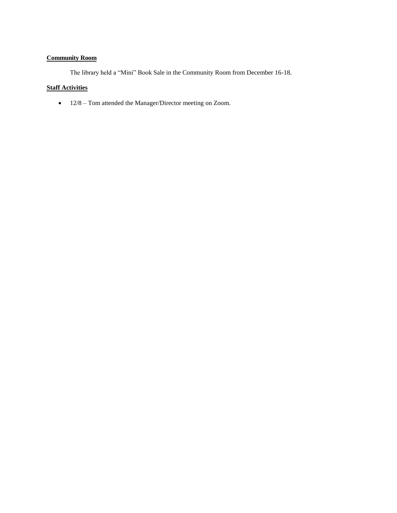# **Community Room**

The library held a "Mini" Book Sale in the Community Room from December 16-18.

## **Staff Activities**

• 12/8 – Tom attended the Manager/Director meeting on Zoom.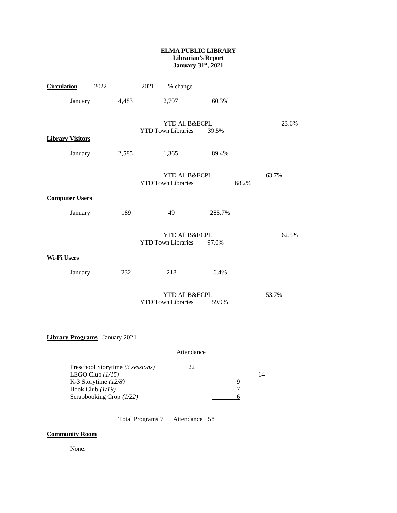#### **ELMA PUBLIC LIBRARY Librarian's Report January 31st, 2021**

| <b>Circulation</b>                                                                                                                                                             | 2022                                     |       | 2021                                                 | % change                                    |        |       |       |  |
|--------------------------------------------------------------------------------------------------------------------------------------------------------------------------------|------------------------------------------|-------|------------------------------------------------------|---------------------------------------------|--------|-------|-------|--|
|                                                                                                                                                                                | January                                  | 4,483 |                                                      | 2,797                                       | 60.3%  |       |       |  |
| <b>Library Visitors</b>                                                                                                                                                        |                                          |       | YTD All B&ECPL<br><b>YTD Town Libraries</b><br>39.5% |                                             |        |       | 23.6% |  |
|                                                                                                                                                                                | January                                  | 2,585 |                                                      | 1,365                                       | 89.4%  |       |       |  |
|                                                                                                                                                                                |                                          |       |                                                      | YTD All B&ECPL<br><b>YTD Town Libraries</b> |        | 68.2% | 63.7% |  |
|                                                                                                                                                                                | <b>Computer Users</b>                    |       |                                                      |                                             |        |       |       |  |
|                                                                                                                                                                                | January                                  | 189   |                                                      | 49                                          | 285.7% |       |       |  |
| <b>Wi-Fi Users</b>                                                                                                                                                             |                                          |       |                                                      | YTD All B&ECPL<br><b>YTD Town Libraries</b> | 97.0%  |       | 62.5% |  |
|                                                                                                                                                                                | January                                  | 232   |                                                      | 218                                         | 6.4%   |       |       |  |
|                                                                                                                                                                                |                                          |       |                                                      | YTD All B&ECPL<br><b>YTD Town Libraries</b> | 59.9%  | 53.7% |       |  |
|                                                                                                                                                                                | <b>Library Programs</b> January 2021     |       |                                                      |                                             |        |       |       |  |
| <b>Attendance</b>                                                                                                                                                              |                                          |       |                                                      |                                             |        |       |       |  |
| Preschool Storytime (3 sessions)<br>22<br>LEGO Club $(1/15)$<br>14<br>K-3 Storytime $(12/8)$<br>9<br>$\tau$<br>Book Club (1/19)<br>Scrapbooking Crop (1/22)<br>$6 \overline{}$ |                                          |       |                                                      |                                             |        |       |       |  |
|                                                                                                                                                                                | <b>Total Programs 7</b><br>Attendance 58 |       |                                                      |                                             |        |       |       |  |

## **Community Room**

None.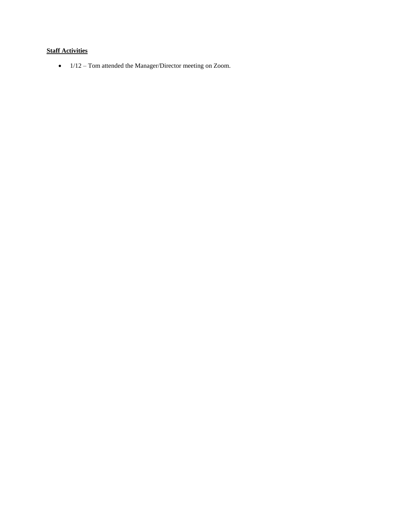# **Staff Activities**

• 1/12 – Tom attended the Manager/Director meeting on Zoom.